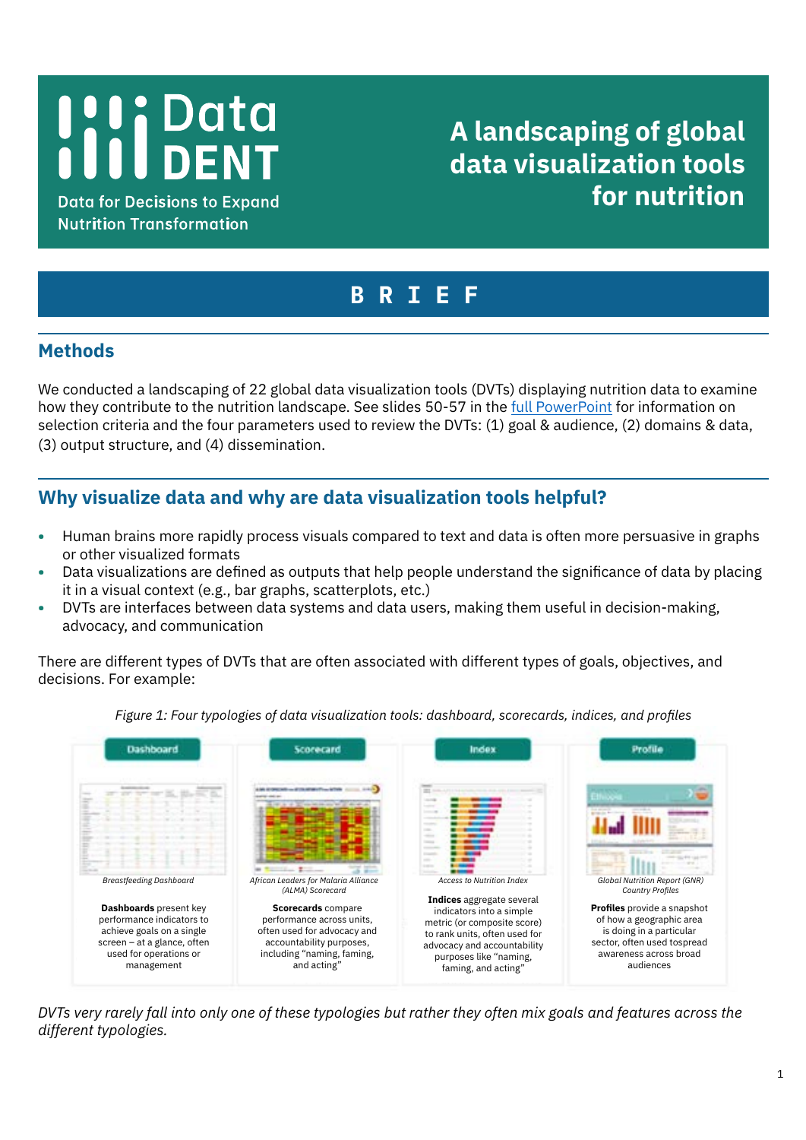# **I'li Data**<br>Ill DENT

**A landscaping of global data visualization tools for nutrition**

**Data for Decisions to Expand Nutrition Transformation** 

# **BRIEF**

# **Methods**

We conducted a landscaping of 22 global data visualization tools (DVTs) displaying nutrition data to examine how they contribute to the nutrition landscape. See slides 50-57 in the [full PowerPoint](https://datadent.org/landscaping-of-global-data-visualization-tools-for-nutrition/) for information on selection criteria and the four parameters used to review the DVTs: (1) goal & audience, (2) domains & data, (3) output structure, and (4) dissemination.

# **Why visualize data and why are data visualization tools helpful?**

- **•** Human brains more rapidly process visuals compared to text and data is often more persuasive in graphs or other visualized formats
- **•** Data visualizations are defined as outputs that help people understand the significance of data by placing it in a visual context (e.g., bar graphs, scatterplots, etc.)
- **•** DVTs are interfaces between data systems and data users, making them useful in decision-making, advocacy, and communication

There are different types of DVTs that are often associated with different types of goals, objectives, and decisions. For example:



*Figure 1: Four typologies of data visualization tools: dashboard, scorecards, indices, and profiles*

*DVTs very rarely fall into only one of these typologies but rather they often mix goals and features across the different typologies.*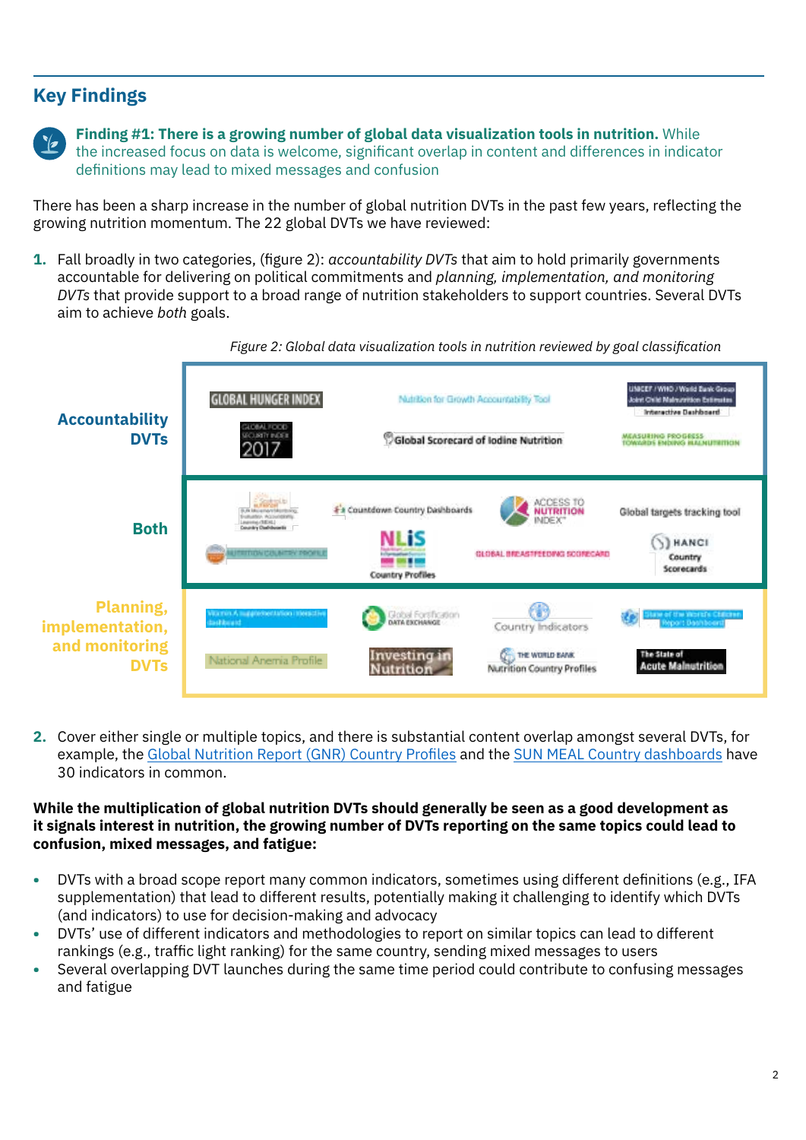# **Key Findings**

**Finding #1: There is a growing number of global data visualization tools in nutrition.** While the increased focus on data is welcome, significant overlap in content and differences in indicator definitions may lead to mixed messages and confusion

There has been a sharp increase in the number of global nutrition DVTs in the past few years, reflecting the growing nutrition momentum. The 22 global DVTs we have reviewed:

**1.** Fall broadly in two categories, (figure 2): *accountability DVTs* that aim to hold primarily governments accountable for delivering on political commitments and *planning, implementation, and monitoring DVTs* that provide support to a broad range of nutrition stakeholders to support countries. Several DVTs aim to achieve *both* goals.



*Figure 2: Global data visualization tools in nutrition reviewed by goal classification* 

**2.** Cover either single or multiple topics, and there is substantial content overlap amongst several DVTs, for example, the [Global Nutrition Report \(GNR\) Country Profiles](http://globalnutritionreport.org/the-data/nutrition-country-profiles/) and the [SUN MEAL Country dashboards](https://scalingupnutrition.org/progress-impact/monitoring-evaluation-accountability-and-learning-meal/) have 30 indicators in common.

### **While the multiplication of global nutrition DVTs should generally be seen as a good development as it signals interest in nutrition, the growing number of DVTs reporting on the same topics could lead to confusion, mixed messages, and fatigue:**

- **•** DVTs with a broad scope report many common indicators, sometimes using different definitions (e.g., IFA supplementation) that lead to different results, potentially making it challenging to identify which DVTs (and indicators) to use for decision-making and advocacy
- **•** DVTs' use of different indicators and methodologies to report on similar topics can lead to different rankings (e.g., traffic light ranking) for the same country, sending mixed messages to users
- **•** Several overlapping DVT launches during the same time period could contribute to confusing messages and fatigue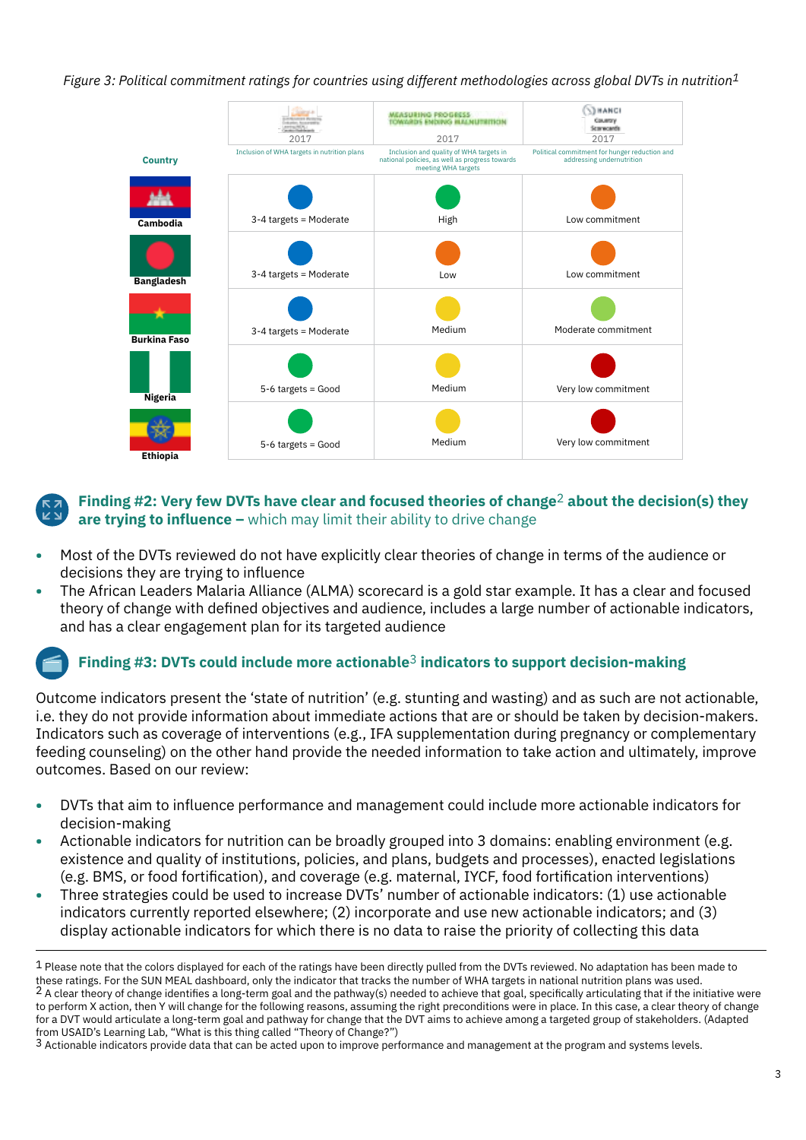*Figure 3: Political commitment ratings for countries using different methodologies across global DVTs in nutrition1*



### **Finding #2: Very few DVTs have clear and focused theories of change**2 **about the decision(s) they are trying to influence –** which may limit their ability to drive change

- **•** Most of the DVTs reviewed do not have explicitly clear theories of change in terms of the audience or decisions they are trying to influence
- **•** The African Leaders Malaria Alliance (ALMA) scorecard is a gold star example. It has a clear and focused theory of change with defined objectives and audience, includes a large number of actionable indicators, and has a clear engagement plan for its targeted audience

# **Finding #3: DVTs could include more actionable**3 **indicators to support decision-making**

Outcome indicators present the 'state of nutrition' (e.g. stunting and wasting) and as such are not actionable, i.e. they do not provide information about immediate actions that are or should be taken by decision-makers. Indicators such as coverage of interventions (e.g., IFA supplementation during pregnancy or complementary feeding counseling) on the other hand provide the needed information to take action and ultimately, improve outcomes. Based on our review:

- **•** DVTs that aim to influence performance and management could include more actionable indicators for decision-making
- **•** Actionable indicators for nutrition can be broadly grouped into 3 domains: enabling environment (e.g. existence and quality of institutions, policies, and plans, budgets and processes), enacted legislations (e.g. BMS, or food fortification), and coverage (e.g. maternal, IYCF, food fortification interventions)
- **•** Three strategies could be used to increase DVTs' number of actionable indicators: (1) use actionable indicators currently reported elsewhere; (2) incorporate and use new actionable indicators; and (3) display actionable indicators for which there is no data to raise the priority of collecting this data

<sup>1</sup> Please note that the colors displayed for each of the ratings have been directly pulled from the DVTs reviewed. No adaptation has been made to these ratings. For the SUN MEAL dashboard, only the indicator that tracks the number of WHA targets in national nutrition plans was used.<br><sup>2</sup> A clear theory of change identifies a long-term goal and the pathway(s) needed t to perform X action, then Y will change for the following reasons, assuming the right preconditions were in place. In this case, a clear theory of change for a DVT would articulate a long-term goal and pathway for change that the DVT aims to achieve among a targeted group of stakeholders. (Adapted from USAID's Learning Lab, "What is this thing called "Theory of Change?")

<sup>3</sup> Actionable indicators provide data that can be acted upon to improve performance and management at the program and systems levels.